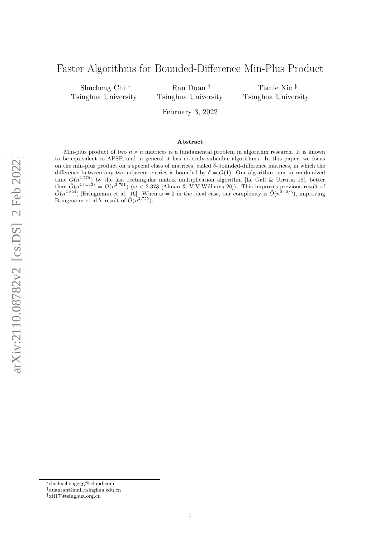# Faster Algorithms for Bounded-Difference Min-Plus Product

Shucheng Chi ∗ Tsinghua University

Ran Duan † Tsinghua University

Tianle Xie ‡ Tsinghua University

February 3, 2022

#### Abstract

Min-plus product of two  $n \times n$  matrices is a fundamental problem in algorithm research. It is known to be equivalent to APSP, and in general it has no truly subcubic algorithms. In this paper, we focus on the min-plus product on a special class of matrices, called  $\delta$ -bounded-difference matrices, in which the difference between any two adjacent entries is bounded by  $\delta = O(1)$ . Our algorithm runs in randomized time  $O(n^{2.779})$  by the fast rectangular matrix multiplication algorithm [Le Gall & Urrutia 18], better than  $\tilde{O}(n^{2+\omega/3}) = O(n^{2.791})$  ( $\omega < 2.373$  [Alman & V.V.Williams 20]). This improves previous result of  $\tilde{O}(n^{2.824})$  [Bringmann et al. 16]. When  $\omega = 2$  in the ideal case, our complexity is  $\tilde{O}(n^{2+2/3})$ , improving Bringmann et al.'s result of  $\tilde{O}(n^{2.755})$ .

arXiv:2110.08782v2 [cs.DS] 2 Feb 2022 [arXiv:2110.08782v2 \[cs.DS\] 2 Feb 2022](http://arxiv.org/abs/2110.08782v2)

<sup>∗</sup>chishuchengggg@icloud.com

<sup>†</sup>duanran@mail.tsinghua.edu.cn

<sup>‡</sup>xtl17@tsinghua.org.cn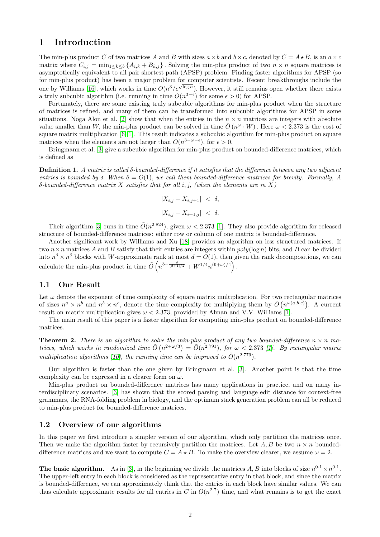## 1 Introduction

The min-plus product C of two matrices A and B with sizes  $a \times b$  and  $b \times c$ , denoted by  $C = A \star B$ , is an  $a \times c$ matrix where  $C_{i,j} = \min_{1 \leq k \leq b} \{A_{i,k} + B_{k,j}\}\.$  Solving the min-plus product of two  $n \times n$  square matrices is asymptotically equivalent to all pair shortest path (APSP) problem. Finding faster algorithms for APSP (so for min-plus product) has been a major problem for computer scientists. Recent breakthroughs include the one by Williams [\[16\]](#page-11-0), which works in time  $O(n^3/c^{\sqrt{\log n}})$ . However, it still remains open whether there exists a truly subcubic algorithm (i.e. running in time  $O(n^{3-\epsilon})$  for some  $\epsilon > 0$ ) for APSP.

Fortunately, there are some existing truly subcubic algorithms for min-plus product when the structure of matrices is refined, and many of them can be transformed into subcubic algorithms for APSP in some situations. Noga Alon et al. [\[2\]](#page-11-1) show that when the entries in the  $n \times n$  matrices are integers with absolute value smaller than W, the min-plus product can be solved in time  $\tilde{O}(n^{\omega} \cdot W)$ . Here  $\omega < 2.373$  is the cost of square matrix multiplication [\[6,](#page-11-2) [1\]](#page-11-3). This result indicates a subcubic algorithm for min-plus product on square matrices when the elements are not larger than  $O(n^{3-\omega-\epsilon})$ , for  $\epsilon > 0$ .

Bringmann et al. [\[3\]](#page-11-4) give a subcubic algorithm for min-plus product on bounded-difference matrices, which is defined as

**Definition 1.** A matrix is called  $\delta$ -bounded-difference if it satisfies that the difference between any two adjacent entries is bounded by δ. When  $\delta = O(1)$ , we call them bounded-difference matrices for brevity. Formally, A  $\delta$ -bounded-difference matrix X satisfies that for all i, j, (when the elements are in X)

$$
|X_{i,j} - X_{i,j+1}| < \delta,
$$
  

$$
|X_{i,j} - X_{i+1,j}| < \delta.
$$

Their algorithm [\[3\]](#page-11-4) runs in time  $\tilde{O}(n^{2.824})$ , given  $\omega < 2.373$  [\[1\]](#page-11-3). They also provide algorithm for released structure of bounded-difference matrices: either row or column of one matrix is bounded-difference.

Another significant work by Williams and Xu [\[18\]](#page-11-5) provides an algorithm on less structured matrices. If two  $n \times n$  matrices A and B satisfy that their entries are integers within  $poly(log n)$  bits, and B can be divided into  $n^{\delta} \times n^{\delta}$  blocks with W-approximate rank at most  $d = O(1)$ , then given the rank decompositions, we can calculate the min-plus product in time  $\tilde{O}\left(n^{3-\frac{\delta}{(d+1)/2}}+W^{1/4}n^{(9+\omega)/4}\right)$ .

### 1.1 Our Result

Let  $\omega$  denote the exponent of time complexity of square matrix multiplication. For two rectangular matrices of sizes  $n^a \times n^b$  and  $n^b \times n^c$ , denote the time complexity for multiplying them by  $\tilde{O}(n^{\omega(a,b,c)})$ . A current result on matrix multiplication gives  $\omega < 2.373$ , provided by Alman and V.V. Williams [\[1\]](#page-11-3).

The main result of this paper is a faster algorithm for computing min-plus product on bounded-difference matrices.

**Theorem 2.** There is an algorithm to solve the min-plus product of any two bounded-difference  $n \times n$  matrices, which works in randomized time  $\tilde{O}(n^{2+\omega/3}) = \tilde{O}(n^{2.791})$ , for  $\omega < 2.373$  [\[1\]](#page-11-3). By rectangular matrix multiplication algorithms [\[10\]](#page-11-6), the running time can be improved to  $\tilde{O}(n^{2.779})$ .

Our algorithm is faster than the one given by Bringmann et al. [\[3\]](#page-11-4). Another point is that the time complexity can be expressed in a clearer form on  $\omega$ .

Min-plus product on bounded-difference matrices has many applications in practice, and on many interdisciplinary scenarios. [\[3\]](#page-11-4) has shown that the scored parsing and language edit distance for context-free grammars, the RNA-folding problem in biology, and the optimum stack generation problem can all be reduced to min-plus product for bounded-difference matrices.

#### 1.2 Overview of our algorithms

In this paper we first introduce a simpler version of our algorithm, which only partition the matrices once. Then we make the algorithm faster by recursively partition the matrices. Let  $A, B$  be two  $n \times n$  boundeddifference matrices and we want to compute  $C = A \star B$ . To make the overview clearer, we assume  $\omega = 2$ .

The basic algorithm. As in [\[3\]](#page-11-4), in the beginning we divide the matrices A, B into blocks of size  $n^{0.1} \times n^{0.1}$ . The upper-left entry in each block is considered as the representative entry in that block, and since the matrix is bounded-difference, we can approximately think that the entries in each block have similar values. We can thus calculate approximate results for all entries in C in  $O(n^{2.7})$  time, and what remains is to get the exact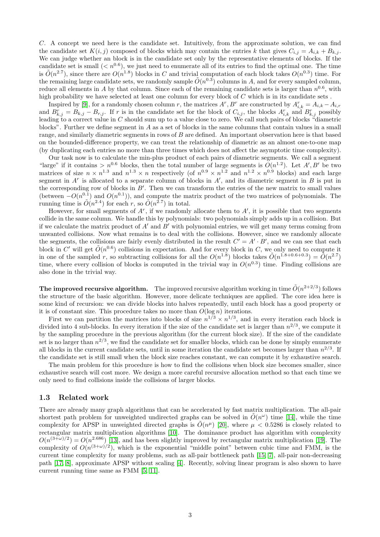C. A concept we need here is the candidate set. Intuitively, from the approximate solution, we can find the candidate set  $K(i, j)$  composed of blocks which may contain the entries k that gives  $C_{i,j} = A_{i,k} + B_{k,j}$ . We can judge whether an block is in the candidate set only by the representative elements of blocks. If the candidate set is small  $(*n*<sup>0.6</sup>)$ , we just need to enumerate all of its entries to find the optimal one. The time is  $O(n^{2.7})$ , since there are  $O(n^{1.8})$  blocks in C and trivial computation of each block takes  $O(n^{0.3})$  time. For the remaining large candidate sets, we randomly sample  $\tilde{O}(n^{0.3})$  columns in A, and for every sampled column, reduce all elements in A by that column. Since each of the remaining candidate sets is larger than  $n^{0.6}$ , with high probability we have selected at least one column for every block of  $C$  which is in its candidate sets.

Inspired by [\[9\]](#page-11-7), for a randomly chosen column r, the matrices  $A^r$ ,  $B^r$  are constructed by  $A_{i,k}^r = A_{i,k} - A_{i,r}$ and  $B_{k,j}^r = B_{k,j} - B_{r,j}$ . If r is in the candidate set for the block of  $C_{i,j}$ , the blocks  $A_{i,k}^r$  and  $B_{k,j}^r$  possibly leading to a correct value in C should sum up to a value close to zero. We call such pairs of blocks "diametric blocks". Further we define segment in A as a set of blocks in the same columns that contain values in a small range, and similarly diametric segments in rows of  $B$  are defined. An important observation here is that based on the bounded-difference property, we can treat the relationship of diametric as an almost one-to-one map (by duplicating each entries no more than three times which does not affect the asymptotic time complexity).

Our task now is to calculate the min-plus product of each pairs of diametric segments. We call a segment "large" if it contains >  $n^{0.6}$  blocks, then the total number of large segments is  $O(n^{1.2})$ . Let  $A', B'$  be two matrices of size  $n \times n^{1.3}$  and  $n^{1.3} \times n$  respectively (of  $n^{0.9} \times n^{1.2}$  and  $n^{1.2} \times n^{0.9}$  blocks) and each large segment in  $A^r$  is allocated to a separate column of blocks in  $A'$ , and its diametric segment in  $B$  is put in the corresponding row of blocks in  $B'$ . Then we can transform the entries of the new matrix to small values (between  $-O(n^{0.1})$ ) and  $O(n^{0.1})$ ), and compute the matrix product of the two matrices of polynomials. The running time is  $O(n^{2.4})$  for each r, so  $O(n^{2.7})$  in total.

However, for small segments of  $A^r$ , if we randomly allocate them to  $A'$ , it is possible that two segments collide in the same column. We handle this by polynomials: two polynomials simply adds up in a collision. But if we calculate the matrix product of  $A'$  and  $B'$  with polynomial entries, we will get many terms coming from unwanted collisions. Now what remains is to deal with the collisions. However, since we randomly allocate the segments, the collisions are fairly evenly distributed in the result  $C' = A' \cdot B'$ , and we can see that each block in C' will get  $O(n^{0.6})$  collisions in expectation. And for every block in C, we only need to compute it in one of the sampled r, so subtracting collisions for all the  $O(n^{1.8})$  blocks takes  $\tilde{O}(n^{1.8+0.6+0.3}) = \tilde{O}(n^{2.7})$ time, where every collision of blocks is computed in the trivial way in  $O(n^{0.3})$  time. Finding collisions are also done in the trivial way.

The improved recursive algorithm. The improved recursive algorithm working in time  $\tilde{O}(n^{2+2/3})$  follows the structure of the basic algorithm. However, more delicate techniques are applied. The core idea here is some kind of recursion: we can divide blocks into halves repeatedly, until each block has a good property or it is of constant size. This procedure takes no more than  $O(\log n)$  iterations.

First we can partition the matrices into blocks of size  $n^{1/3} \times n^{1/3}$ , and in every iteration each block is divided into 4 sub-blocks. In every iteration if the size of the candidate set is larger than  $n^{2/3}$ , we compute it by the sampling procedure in the previous algorithm (for the current block size). If the size of the candidate set is no larger than  $n^{2/3}$ , we find the candidate set for smaller blocks, which can be done by simply enumerate all blocks in the current candidate sets, until in some iteration the candidate set becomes larger than  $n^{2/3}$ . If the candidate set is still small when the block size reaches constant, we can compute it by exhaustive search.

The main problem for this procedure is how to find the collisions when block size becomes smaller, since exhaustive search will cost more. We design a more careful recursive allocation method so that each time we only need to find collisions inside the collisions of larger blocks.

#### 1.3 Related work

There are already many graph algorithms that can be accelerated by fast matrix multiplication. The all-pair shortest path problem for unweighted undirected graphs can be solved in  $\tilde{O}(n^{\omega})$  time [\[14\]](#page-11-8), while the time complexity for APSP in unweighted directed graphs is  $\tilde{O}(n^{\mu})$  [\[20\]](#page-12-0), where  $\mu < 0.5286$  is closely related to rectangular matrix multiplication algorithms [\[10\]](#page-11-6). The dominance product has algorithm with complexity  $O(n^{(3+\omega)/2}) = O(n^{2.686})$  [\[13\]](#page-11-9), and has been slightly improved by rectangular matrix multiplication [\[19\]](#page-12-1). The complexity of  $O(n^{(3+\omega)/2})$ , which is the exponential "middle point" between cubic time and FMM, is the current time complexity for many problems, such as all-pair bottleneck path [\[15,](#page-11-10) [7\]](#page-11-11), all-pair non-decreasing path [\[17,](#page-11-12) [8\]](#page-11-13), approximate APSP without scaling [\[4\]](#page-11-14). Recently, solving linear program is also shown to have current running time same as FMM [\[5,](#page-11-15) [11\]](#page-11-16).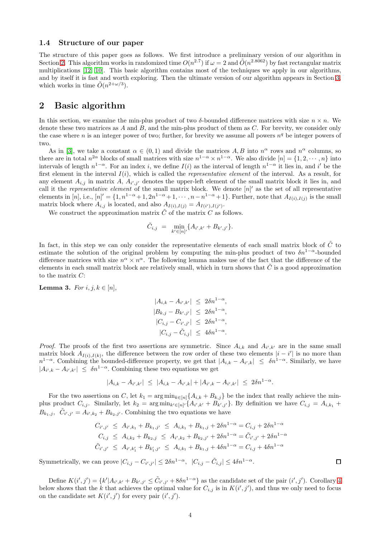#### 1.4 Structure of our paper

The structure of this paper goes as follows. We first introduce a preliminary version of our algorithm in Section [2.](#page-3-0) This algorithm works in randomized time  $O(n^{2.7})$  if  $\omega = 2$  and  $\tilde{O}(n^{2.8062})$  by fast rectangular matrix multiplications [\[12,](#page-11-17) [10\]](#page-11-6). This basic algorithm contains most of the techniques we apply in our algorithms, and by itself it is fast and worth exploring. Then the ultimate version of our algorithm appears in Section [3,](#page-8-0) which works in time  $\tilde{O}(n^{2+\omega/3})$ .

## <span id="page-3-0"></span>2 Basic algorithm

In this section, we examine the min-plus product of two  $\delta$ -bounded difference matrices with size  $n \times n$ . We denote these two matrices as  $A$  and  $B$ , and the min-plus product of them as  $C$ . For brevity, we consider only the case where n is an integer power of two; further, for brevity we assume all powers  $n<sup>q</sup>$  be integer powers of two.

As in [\[3\]](#page-11-4), we take a constant  $\alpha \in (0,1)$  and divide the matrices A, B into  $n^{\alpha}$  rows and  $n^{\alpha}$  columns, so there are in total  $n^{2\alpha}$  blocks of small matrices with size  $n^{1-\alpha} \times n^{1-\alpha}$ . We also divide  $[n] = \{1, 2, \cdots, n\}$  into intervals of length  $n^{1-\alpha}$ . For an index i, we define  $I(i)$  as the interval of length  $n^{1-\alpha}$  it lies in, and i' be the first element in the interval  $I(i)$ , which is called the *representative element* of the interval. As a result, for any element  $A_{i,j}$  in matrix A,  $A_{i',j'}$  denotes the upper-left element of the small matrix block it lies in, and call it the *representative element* of the small matrix block. We denote  $[n]'$  as the set of all representative elements in  $[n]$ , i.e.,  $[n]' = \{1, n^{1-\alpha}+1, 2n^{1-\alpha}+1, \cdots, n-n^{1-\alpha}+1\}$ . Further, note that  $A_{I(i),I(j)}$  is the small matrix block where  $A_{i,j}$  is located, and also  $A_{I(i),I(j)} = A_{I(i'),I(j')}$ .

We construct the approximation matrix  $\tilde{C}$  of the matrix C as follows.

$$
\tilde{C}_{i,j} = \min_{k' \in [n]} \{ A_{i',k'} + B_{k',j'} \}.
$$

In fact, in this step we can only consider the representative elements of each small matrix block of  $\tilde{C}$  to estimate the solution of the original problem by computing the min-plus product of two  $\delta n^{1-\alpha}$ -bounded difference matrices with size  $n^{\alpha} \times n^{\alpha}$ . The following lemma makes use of the fact that the difference of the elements in each small matrix block are relatively small, which in turn shows that  $\hat{C}$  is a good approximation to the matrix  $C$ :

<span id="page-3-1"></span>**Lemma 3.** For  $i, j, k \in [n]$ ,

$$
|A_{i,k} - A_{i',k'}| \le 2\delta n^{1-\alpha},
$$
  
\n
$$
|B_{k,j} - B_{k',j'}| \le 2\delta n^{1-\alpha},
$$
  
\n
$$
|C_{i,j} - C_{i',j'}| \le 2\delta n^{1-\alpha},
$$
  
\n
$$
|C_{i,j} - \tilde{C}_{i,j}| \le 4\delta n^{1-\alpha}.
$$

*Proof.* The proofs of the first two assertions are symmetric. Since  $A_{i,k}$  and  $A_{i',k'}$  are in the same small matrix block  $A_{I(i),I(k)}$ , the difference between the row order of these two elements  $|i - i'|$  is no more than  $n^{1-\alpha}$ . Combining the bounded-difference property, we get that  $|A_{i,k} - A_{i',k}| \leq \delta n^{1-\alpha}$ . Similarly, we have  $|A_{i',k} - A_{i',k'}| \leq \delta n^{1-\alpha}$ . Combining these two equations we get

$$
|A_{i,k} - A_{i',k'}| \le |A_{i,k} - A_{i',k}| + |A_{i',k} - A_{i',k'}| \le 2\delta n^{1-\alpha}.
$$

For the two assertions on C, let  $k_1 = \arg \min_{k \in [n]} \{A_{i,k} + B_{k,j}\}\$  be the index that really achieve the minplus product  $C_{i,j}$ . Similarly, let  $k_2 = \arg \min_{k' \in [n]^{\prime}} \{ A_{i',k'} + B_{k',j'} \}$ . By definition we have  $C_{i,j} = A_{i,k_1} +$  $B_{k_1,j}, \tilde{C}_{i',j'} = A_{i',k_2} + B_{k_2,j'}.$  Combining the two equations we have

$$
C_{i',j'} \leq A_{i',k_1} + B_{k_1,j'} \leq A_{i,k_1} + B_{k_1,j} + 2\delta n^{1-\alpha} = C_{i,j} + 2\delta n^{1-\alpha}
$$
  
\n
$$
C_{i,j} \leq A_{i,k_2} + B_{k_2,j} \leq A_{i',k_2} + B_{k_2,j'} + 2\delta n^{1-\alpha} = \tilde{C}_{i',j'} + 2\delta n^{1-\alpha}
$$
  
\n
$$
\tilde{C}_{i',j'} \leq A_{i',k_1'} + B_{k_1',j'} \leq A_{i,k_1} + B_{k_1,j} + 4\delta n^{1-\alpha} = C_{i,j} + 4\delta n^{1-\alpha}
$$

 $\Box$ 

Symmetrically, we can prove  $|C_{i,j} - C_{i',j'}| \leq 2\delta n^{1-\alpha}$ ,  $|C_{i,j} - \tilde{C}_{i,j}| \leq 4\delta n^{1-\alpha}$ .

Define  $K(i',j') = \{k'|A_{i',k'} + B_{k',j'} \leq \tilde{C}_{i',j'} + 8\delta n^{1-\alpha}\}\$ as the candidate set of the pair  $(i',j')$ . Corollary [4](#page-4-0) below shows that the k that achieves the optimal value for  $C_{i,j}$  is in  $K(i',j')$ , and thus we only need to focus on the candidate set  $K(i', j')$  for every pair  $(i', j')$ .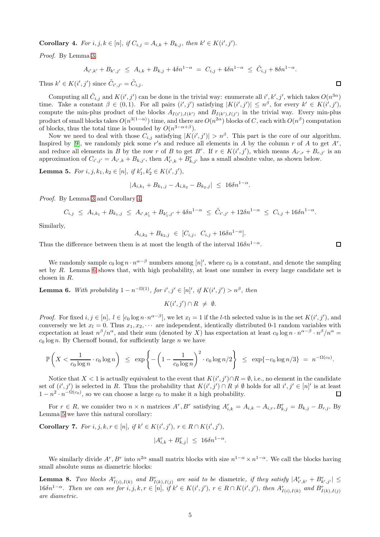<span id="page-4-0"></span>**Corollary 4.** For  $i, j, k \in [n]$ , if  $C_{i,j} = A_{i,k} + B_{k,j}$ , then  $k' \in K(i', j')$ .

Proof. By Lemma [3,](#page-3-1)

 $A_{i',k'} + B_{k',j'} \ \leq \ A_{i,k} + B_{k,j} + 4\delta n^{1-\alpha} \ = \ C_{i,j} + 4\delta n^{1-\alpha} \ \leq \ \tilde C_{i,j} + 8\delta n^{1-\alpha}.$ 

Thus  $k' \in K(i',j')$  since  $\tilde{C}_{i',j'} = \tilde{C}_{i,j}$ .

Computing all  $\tilde{C}_{i,j}$  and  $K(i',j')$  can be done in the trivial way: enumerate all  $i', k', j'$ , which takes  $O(n^{3\alpha})$ time. Take a constant  $\beta \in (0,1)$ . For all pairs  $(i',j')$  satisfying  $|K(i',j')| \leq n^{\beta}$ , for every  $k' \in K(i',j')$ , compute the min-plus product of the blocks  $A_{I(i'),I(k')}$  and  $B_{I(k'),I(j')}$  in the trivial way. Every min-plus product of small blocks takes  $O(n^{3(1-\alpha)})$  time, and there are  $O(n^{2\alpha})$  blocks of C, each with  $O(n^{\beta})$  computation of blocks, thus the total time is bounded by  $O(n^{3-\alpha+\beta})$ .

Now we need to deal with those  $C_{i,j}$  satisfying  $|K(i',j')| > n^{\beta}$ . This part is the core of our algorithm. Inspired by [\[9\]](#page-11-7), we randomly pick some r's and reduce all elements in A by the column r of A to get  $A^r$ , and reduce all elements in B by the row r of B to get B<sup>r</sup>. If  $r \in K(i',j')$ , which means  $A_{i',r} + B_{r,j'}$  is an approximation of  $C_{i',j'} = A_{i',k} + B_{k,j'}$ , then  $A_{i',k}^r + B_{k,j'}^r$  has a small absolute value, as shown below.

<span id="page-4-2"></span>**Lemma 5.** For  $i, j, k_1, k_2 \in [n]$ , if  $k'_1, k'_2 \in K(i', j')$ ,

$$
|A_{i,k_1} + B_{k_1,j} - A_{i,k_2} - B_{k_2,j}| \leq 16\delta n^{1-\alpha}.
$$

Proof. By Lemma [3](#page-3-1) and Corollary [4,](#page-4-0)

$$
C_{i,j} \leq A_{i,k_1} + B_{k_1,j} \leq A_{i',k_1'} + B_{k_1',j'} + 4\delta n^{1-\alpha} \leq \tilde{C}_{i',j'} + 12\delta n^{1-\alpha} \leq C_{i,j} + 16\delta n^{1-\alpha}.
$$

Similarly,

$$
A_{i,k_2} + B_{k_2,j} \ \in \ [C_{i,j}, \ C_{i,j} + 16\delta n^{1-\alpha}].
$$

Thus the difference between them is at most the length of the interval  $16\delta n^{1-\alpha}$ .

We randomly sample  $c_0 \log n \cdot n^{\alpha-\beta}$  numbers among  $[n]'$ , where  $c_0$  is a constant, and denote the sampling set by R. Lemma [6](#page-4-1) shows that, with high probability, at least one number in every large candidate set is chosen in R.

<span id="page-4-1"></span>**Lemma 6.** With probability  $1 - n^{-\Omega(1)}$ , for  $i', j' \in [n]'$ , if  $K(i', j') > n^{\beta}$ , then

$$
K(i',j') \cap R \neq \emptyset.
$$

*Proof.* For fixed  $i, j \in [n], l \in [c_0 \log n \cdot n^{\alpha-\beta}]$ , we let  $x_l = 1$  if the *l*-th selected value is in the set  $K(i', j')$ , and conversely we let  $x_l = 0$ . Thus  $x_1, x_2, \cdots$  are independent, identically distributed 0-1 random variables with expectation at least  $n^{\beta}/n^{\alpha}$ , and their sum (denoted by X) has expectation at least  $c_0 \log n \cdot n^{\alpha-\beta} \cdot n^{\beta}/n^{\alpha} =$  $c_0$  log n. By Chernoff bound, for sufficiently large n we have

$$
\mathbb{P}\left(X < \frac{1}{c_0\log n} \cdot c_0\log n\right) \le \exp\left\{-\left(1 - \frac{1}{c_0\log n}\right)^2 \cdot c_0\log n/2\right\} \le \exp\{-c_0\log n/3\} = n^{-\Omega(c_0)}.
$$

Notice that  $X < 1$  is actually equivalent to the event that  $K(i', j') \cap R = \emptyset$ , i.e., no element in the candidate set of  $(i', j')$  is selected in R. Thus the probability that  $K(i', j') \cap R \neq \emptyset$  holds for all  $i', j' \in [n]'$  is at least  $1 - n^2 \cdot n^{-\Omega(c_0)}$ , so we can choose a large  $c_0$  to make it a high probability.

For  $r \in R$ , we consider two  $n \times n$  matrices  $A^r, B^r$  satisfying  $A_{i,k}^r = A_{i,k} - A_{i,r}, B_{k,j}^r = B_{k,j} - B_{r,j}$ . By Lemma [5](#page-4-2) we have this natural corollary:

**Corollary 7.** For  $i, j, k, r \in [n]$ , if  $k' \in K(i', j')$ ,  $r \in R \cap K(i', j')$ ,

$$
|A_{i,k}^r + B_{k,j}^r| \le 16\delta n^{1-\alpha}.
$$

We similarly divide  $A^r, B^r$  into  $n^{2\alpha}$  small matrix blocks with size  $n^{1-\alpha} \times n^{1-\alpha}$ . We call the blocks having small absolute sums as diametric blocks:

<span id="page-4-3"></span>**Lemma 8.** Two blocks  $A^r_{I(i),I(k)}$  and  $B^r_{I(k),I(j)}$  are said to be diametric, if they satisfy  $|A^r_{i',k'} + B^r_{k',j'}| \leq$ 16δn<sup>1-α</sup>. Then we can see for  $i, j, k, r \in [n]$ , if  $k' \in K(i', j')$ ,  $r \in R \cap K(i', j')$ , then  $A_{I(i), I(k)}^r$  and  $B_{I(k), I(j)}^r$ are diametric.

 $\Box$ 

 $\Box$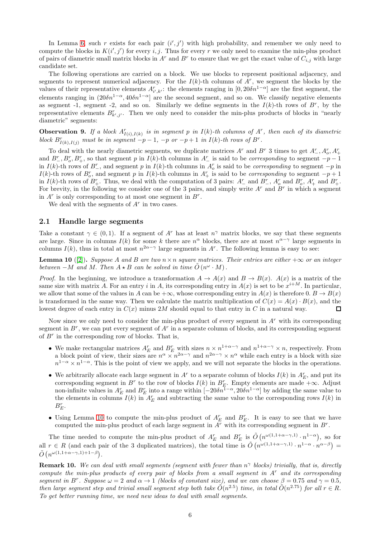In Lemma [6,](#page-4-1) such r exists for each pair  $(i', j')$  with high probability, and remember we only need to compute the blocks in  $K(i', j')$  for every i, j. Thus for every r we only need to examine the min-plus product of pairs of diametric small matrix blocks in  $A^r$  and  $B^r$  to ensure that we get the exact value of  $C_{i,j}$  with large candidate set.

The following operations are carried on a block. We use blocks to represent positional adjacency, and segments to represent numerical adjacency. For the  $I(k)$ -th columns of  $A<sup>r</sup>$ , we segment the blocks by the values of their representative elements  $A_{i',k'}^r$ : the elements ranging in  $[0, 20\delta n^{1-\alpha}]$  are the first segment, the elements ranging in  $(20\delta n^{1-\alpha}, 40\delta n^{1-\alpha})$  are the second segment, and so on. We classify negative elements as segment -1, segment -2, and so on. Similarly we define segments in the  $I(k)$ -th rows of  $B^r$ , by the representative elements  $B_{k',j'}^r$ . Then we only need to consider the min-plus products of blocks in "nearly diametric" segments:

<span id="page-5-2"></span>**Observation 9.** If a block  $A_{I(i),I(k)}^r$  is in segment p in  $I(k)$ -th columns of  $A^r$ , then each of its diametric block  $B^r_{I(k),I(j)}$  must be in segment  $-p-1$ ,  $-p$  or  $-p+1$  in  $I(k)$ -th rows of  $B^r$ .

To deal with the nearly diametric segments, we duplicate matrices  $A^r$  and  $B^r$  3 times to get  $A^r_-, A^r_0, A^r_+$ and  $B_{-}^{r}, B_{0}^{r}, B_{+}^{r}$ , so that segment p in  $I(k)$ -th columns in  $A_{-}^{r}$  is said to be *corresponding* to segment  $-p-1$ in  $I(k)$ -th rows of  $B^r$ , and segment p in  $I(k)$ -th columns in  $A^r_o$  is said to be *corresponding* to segment  $-p$  in  $I(k)$ -th rows of  $B_{o}^{r}$ , and segment p in  $I(k)$ -th columns in  $A_{+}^{r}$  is said to be *corresponding* to segment  $-p+1$ in  $I(k)$ -th rows of  $B^r_+$ . Thus, we deal with the computation of 3 pairs:  $A^r_-$  and  $B^r_-$ ,  $A^r_0$  and  $B^r_0$ ,  $A^r_+$  and  $B^r_+$ . For brevity, in the following we consider one of the 3 pairs, and simply write  $A<sup>r</sup>$  and  $B<sup>r</sup>$  in which a segment in  $A^r$  is only corresponding to at most one segment in  $B^r$ .

We deal with the segments of  $A<sup>r</sup>$  in two cases.

#### <span id="page-5-1"></span>2.1 Handle large segments

Take a constant  $\gamma \in (0,1)$ . If a segment of A<sup>r</sup> has at least  $n^{\gamma}$  matrix blocks, we say that these segments are large. Since in columns  $I(k)$  for some k there are  $n^{\alpha}$  blocks, there are at most  $n^{\alpha-\gamma}$  large segments in columns  $I(k)$ , thus in total at most  $n^{2\alpha-\gamma}$  large segments in A<sup>r</sup>. The following lemma is easy to see:

<span id="page-5-0"></span>**Lemma 10** ([\[2\]](#page-11-1)). Suppose A and B are two  $n \times n$  square matrices. Their entries are either  $+\infty$  or an integer between  $-M$  and M. Then  $A \star B$  can be solved in time  $\tilde{O}(n^{\omega} \cdot M)$ .

*Proof.* In the beginning, we introduce a transformation  $A \to A(x)$  and  $B \to B(x)$ .  $A(x)$  is a matrix of the same size with matrix A. For an entry i in A, its corresponding entry in  $A(x)$  is set to be  $x^{i+M}$ . In particular, we allow that some of the values in A can be  $+\infty$ , whose corresponding entry in  $A(x)$  is therefore 0.  $B \to B(x)$ is transformed in the same way. Then we calculate the matrix multiplication of  $C(x) = A(x) \cdot B(x)$ , and the lowest degree of each entry in  $C(x)$  minus 2M should equal to that entry in C in a natural way.  $\Box$ 

Now since we only need to consider the min-plus product of every segment in  $A<sup>r</sup>$  with its corresponding segment in  $B^r$ , we can put every segment of  $A^r$  in a separate column of blocks, and its corresponding segment of  $B<sup>r</sup>$  in the corresponding row of blocks. That is,

- We make rectangular matrices  $A_E^r$  and  $B_E^r$  with sizes  $n \times n^{1+\alpha-\gamma}$  and  $n^{1+\alpha-\gamma} \times n$ , respectively. From a block point of view, their sizes are  $n^{\alpha} \times n^{2\alpha-\gamma}$  and  $n^{2\alpha-\gamma} \times n^{\alpha}$  while each entry is a block with size  $n^{1-\alpha} \times n^{1-\alpha}$ . This is the point of view we apply, and we will not separate the blocks in the operations.
- We arbitrarily allocate each large segment in  $A^r$  to a separate column of blocks  $I(k)$  in  $A_E^r$ , and put its corresponding segment in  $B^r$  to the row of blocks  $I(k)$  in  $B^r_E$ . Empty elements are made  $+\infty$ . Adjust non-infinite values in  $A_E^r$  and  $B_E^r$  into a range within  $[-20\delta n^{1-\alpha}, 20\delta n^{1-\alpha}]$  by adding the same value to the elements in columns  $I(k)$  in  $A_E^r$  and subtracting the same value to the corresponding rows  $I(k)$  in  $B_E^r$ .
- Using Lemma [10](#page-5-0) to compute the min-plus product of  $A_E^r$  and  $B_E^r$ . It is easy to see that we have computed the min-plus product of each large segment in  $A<sup>r</sup>$  with its corresponding segment in  $B<sup>r</sup>$ .

The time needed to compute the min-plus product of  $A_E^r$  and  $B_E^r$  is  $\tilde{O}(n^{\omega(1,1+\alpha-\gamma,1)} \cdot n^{1-\alpha})$ , so for all  $r \in R$  (and each pair of the 3 duplicated matrices), the total time is  $\tilde{O}(n^{\omega(1,1+\alpha-\gamma,1)} \cdot n^{1-\alpha} \cdot n^{\alpha-\beta}) =$  $\tilde{O}\left(n^{\omega(1,1+\alpha-\gamma,1)+1-\beta}\right)$ .

**Remark 10.** We can deal with small segments (segment with fewer than  $n^{\gamma}$  blocks) trivially, that is, directly compute the min-plus products of every pair of blocks from a small segment in  $A<sup>r</sup>$  and its corresponding segment in B<sup>r</sup>. Suppose  $\omega = 2$  and  $\alpha \to 1$  (blocks of constant size), and we can choose  $\beta = 0.75$  and  $\gamma = 0.5$ , then large segment step and trivial small segment step both take  $O(n^{2.5})$  time, in total  $O(n^{2.75})$  for all  $r \in R$ . To get better running time, we need new ideas to deal with small segments.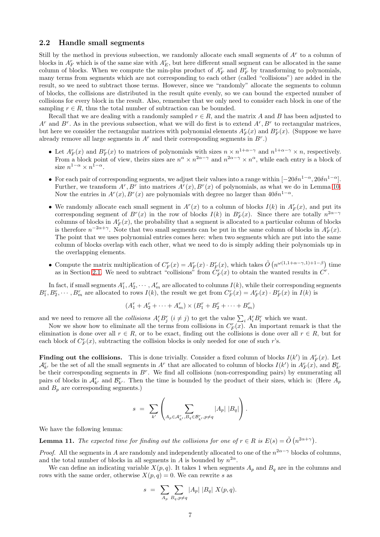#### <span id="page-6-1"></span>2.2 Handle small segments

Still by the method in previous subsection, we randomly allocate each small segments of  $A<sup>r</sup>$  to a column of blocks in  $A_F^r$  which is of the same size with  $A_E^r$ , but here different small segment can be allocated in the same column of blocks. When we compute the min-plus product of  $A_F^r$  and  $B_F^r$  by transforming to polynomials, many terms from segments which are not corresponding to each other (called "collisions") are added in the result, so we need to subtract those terms. However, since we "randomly" allocate the segments to column of blocks, the collisions are distributed in the result quite evenly, so we can bound the expected number of collisions for every block in the result. Also, remember that we only need to consider each block in one of the sampling  $r \in R$ , thus the total number of subtraction can be bounded.

Recall that we are dealing with a randomly sampled  $r \in R$ , and the matrix A and B has been adjusted to  $A^r$  and  $B^r$ . As in the previous subsection, what we will do first is to extend  $A^r$ ,  $B^r$  to rectangular matrices, but here we consider the rectangular matrices with polynomial elements  $A_F^r(x)$  and  $B_F^r(x)$ . (Suppose we have already remove all large segments in  $A<sup>r</sup>$  and their corresponding segments in  $B<sup>r</sup>$ .)

- Let  $A_F^r(x)$  and  $B_F^r(x)$  to matrices of polynomials with sizes  $n \times n^{1+\alpha-\gamma}$  and  $n^{1+\alpha-\gamma} \times n$ , respectively. From a block point of view, theirs sizes are  $n^{\alpha} \times n^{2\alpha-\gamma}$  and  $n^{2\alpha-\gamma} \times n^{\alpha}$ , while each entry is a block of size  $n^{1-\alpha} \times n^{1-\alpha}$ .
- For each pair of corresponding segments, we adjust their values into a range within  $[-20\delta n^{1-\alpha}, 20\delta n^{1-\alpha}]$ . Further, we transform  $A^r, B^r$  into matrices  $A^r(x), B^r(x)$  of polynomials, as what we do in Lemma [10.](#page-5-0) Now the entries in  $A^r(x)$ ,  $B^r(x)$  are polynomials with degree no larger than  $40\delta n^{1-\alpha}$ .
- We randomly allocate each small segment in  $A<sup>r</sup>(x)$  to a column of blocks  $I(k)$  in  $A<sup>r</sup><sub>F</sub>(x)$ , and put its corresponding segment of  $B<sup>r</sup>(x)$  in the row of blocks  $I(k)$  in  $B<sup>r</sup><sub>F</sub>(x)$ . Since there are totally  $n^{2\alpha-\gamma}$ columns of blocks in  $A_F^r(x)$ , the probability that a segment is allocated to a particular column of blocks is therefore  $n^{-2\alpha+\gamma}$ . Note that two small segments can be put in the same column of blocks in  $A_F^r(x)$ . The point that we uses polynomial entries comes here: when two segments which are put into the same column of blocks overlap with each other, what we need to do is simply adding their polynomials up in the overlapping elements.
- Compute the matrix multiplication of  $C_F^r(x) = A_F^r(x) \cdot B_F^r(x)$ , which takes  $\tilde{O}(n^{\omega(1,1+\alpha-\gamma,1)+1-\beta})$  time as in Section [2.1.](#page-5-1) We need to subtract "collisions" from  $C_F^r(x)$  to obtain the wanted results in  $\dot{C}^r$ .

In fact, if small segments  $A_1^r, A_2^r, \cdots, A_m^r$  are allocated to columns  $I(k)$ , while their corresponding segments  $B_1^r, B_2^r, \cdots, B_m^r$  are allocated to rows  $I(k)$ , the result we get from  $C_F^r(x) = A_F^r(x) \cdot B_F^r(x)$  in  $I(k)$  is

$$
(A_1^r + A_2^r + \dots + A_m^r) \times (B_1^r + B_2^r + \dots + B_m^r)
$$

and we need to remove all the collisions  $A_i^r B_j^r$   $(i \neq j)$  to get the value  $\sum_i A_i^r B_i^r$  which we want.

Now we show how to eliminate all the terms from collisions in  $C_F^r(x)$ . An important remark is that the elimination is done over all  $r \in R$ , or to be exact, finding out the collisions is done over all  $r \in R$ , but for each block of  $C_F^r(x)$ , subtracting the collision blocks is only needed for one of such r's.

**Finding out the collisions.** This is done trivially. Consider a fixed column of blocks  $I(k')$  in  $A_F^r(x)$ . Let  $\mathcal{A}_{k'}^r$  be the set of all the small segments in  $A^r$  that are allocated to column of blocks  $I(k')$  in  $A_F^r(x)$ , and  $\mathcal{B}_{k'}^r$ be their corresponding segments in  $B<sup>r</sup>$ . We find all collisions (non-corresponding pairs) by enumerating all pairs of blocks in  $\mathcal{A}_{k'}^r$  and  $\mathcal{B}_{k'}^r$ . Then the time is bounded by the product of their sizes, which is: (Here  $A_p$ and  $B_p$  are corresponding segments.)

$$
s = \sum_{k'} \left( \sum_{A_p \in \mathcal{A}_{k'}^r, B_q \in \mathcal{B}_{k'}^r, p \neq q} |A_p| |B_q| \right).
$$

We have the following lemma:

<span id="page-6-0"></span>**Lemma 11.** The expected time for finding out the collisions for one of  $r \in R$  is  $E(s) = \tilde{O}(n^{2\alpha+\gamma})$ .

*Proof.* All the segments in A are randomly and independently allocated to one of the  $n^{2\alpha-\gamma}$  blocks of columns, and the total number of blocks in all segments in A is bounded by  $n^{2\alpha}$ .

We can define an indicating variable  $X(p, q)$ . It takes 1 when segments  $A_p$  and  $B_q$  are in the columns and rows with the same order, otherwise  $X(p,q) = 0$ . We can rewrite s as

$$
s = \sum_{A_p} \sum_{B_q, p \neq q} |A_p| |B_q| X(p, q).
$$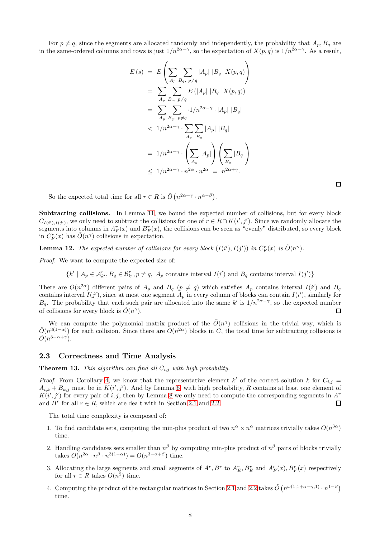For  $p \neq q$ , since the segments are allocated randomly and independently, the probability that  $A_p$ ,  $B_q$  are in the same-ordered columns and rows is just  $1/n^{2\alpha-\gamma}$ , so the expectation of  $X(p,q)$  is  $1/n^{2\alpha-\gamma}$ . As a result,

$$
E(s) = E\left(\sum_{A_p} \sum_{B_q, p \neq q} |A_p| |B_q| X(p, q)\right)
$$
  
\n
$$
= \sum_{A_p} \sum_{B_q, p \neq q} E(|A_p| |B_q| X(p, q))
$$
  
\n
$$
= \sum_{A_p} \sum_{B_q, p \neq q} \cdot 1/n^{2\alpha - \gamma} \cdot |A_p| |B_q|
$$
  
\n
$$
< 1/n^{2\alpha - \gamma} \cdot \sum_{A_p} \sum_{B_q} |A_p| |B_q|
$$
  
\n
$$
= 1/n^{2\alpha - \gamma} \cdot \left(\sum_{A_p} |A_p| \right) \left(\sum_{B_q} |B_q| \right)
$$
  
\n
$$
\leq 1/n^{2\alpha - \gamma} \cdot n^{2\alpha} \cdot n^{2\alpha} = n^{2\alpha + \gamma}.
$$

 $\Box$ 

So the expected total time for all  $r \in R$  is  $\tilde{O}(n^{2\alpha+\gamma} \cdot n^{\alpha-\beta})$ .

Subtracting collisions. In Lemma [11,](#page-6-0) we bound the expected number of collisions, but for every block  $C_{I(i'),I(j')}$ , we only need to subtract the collisions for one of  $r \in R \cap K(i',j')$ . Since we randomly allocate the segments into columns in  $A_F^r(x)$  and  $B_F^r(x)$ , the collisions can be seen as "evenly" distributed, so every block in  $C_F^r(x)$  has  $\tilde{O}(n^{\gamma})$  collisions in expectation.

<span id="page-7-0"></span>**Lemma 12.** The expected number of collisions for every block  $(I(i'), I(j'))$  in  $C_F^r(x)$  is  $\tilde{O}(n^{\gamma})$ .

Proof. We want to compute the expected size of:

 $\{k' \mid A_p \in \mathcal{A}_{k'}^r, B_q \in \mathcal{B}_{k'}^r, p \neq q, A_p \text{ contains interval } I(i') \text{ and } B_q \text{ contains interval } I(j')\}$ 

There are  $O(n^{2\alpha})$  different pairs of  $A_p$  and  $B_q$  ( $p \neq q$ ) which satisfies  $A_p$  contains interval  $I(i')$  and  $B_q$ contains interval  $I(j')$ , since at most one segment  $A_p$  in every column of blocks can contain  $I(i')$ , similarly for  $B_q$ . The probability that each such pair are allocated into the same k' is  $1/n^{2\alpha-\gamma}$ , so the expected number of collisions for every block is  $\tilde{O}(n^{\gamma})$ .  $\Box$ 

We can compute the polynomial matrix product of the  $\tilde{O}(n^{\gamma})$  collisions in the trivial way, which is  $\tilde{O}(n^{3(1-\alpha)})$  for each collision. Since there are  $\tilde{O}(n^{2\alpha})$  blocks in C, the total time for subtracting collisions is  $\tilde{O}(n^{3-\alpha+\gamma}).$ 

#### 2.3 Correctness and Time Analysis

<span id="page-7-1"></span>**Theorem 13.** This algorithm can find all  $C_{i,j}$  with high probability.

*Proof.* From Corollary [4,](#page-4-0) we know that the representative element k' of the correct solution k for  $C_{i,j}$  =  $A_{i,k} + B_{k,j}$  must be in  $K(i',j')$ . And by Lemma [6,](#page-4-1) with high probability, R contains at least one element of  $K(i',j')$  for every pair of i, j, then by Lemma [8](#page-4-3) we only need to compute the corresponding segments in  $A<sup>r</sup>$ and  $B^r$  for all  $r \in R$ , which are dealt with in Section [2.1](#page-5-1) and [2.2.](#page-6-1)  $\Box$ 

The total time complexity is composed of:

- 1. To find candidate sets, computing the min-plus product of two  $n^{\alpha} \times n^{\alpha}$  matrices trivially takes  $O(n^{3\alpha})$ time.
- 2. Handling candidates sets smaller than  $n^{\beta}$  by computing min-plus product of  $n^{\beta}$  pairs of blocks trivially takes  $O(n^{2\alpha} \cdot n^{\beta} \cdot n^{3(1-\alpha)}) = O(n^{3-\alpha+\beta})$  time.
- 3. Allocating the large segments and small segments of  $A^r$ ,  $B^r$  to  $A_E^r$ ,  $B_E^r$  and  $A_F^r(x)$ ,  $B_F^r(x)$  respectively for all  $r \in R$  takes  $O(n^2)$  time.
- 4. Computing the product of the rectangular matrices in Section [2.1](#page-5-1) and [2.2](#page-6-1) takes  $\tilde{O}(n^{\omega(1,1+\alpha-\gamma,1)}\cdot n^{1-\beta})$ time.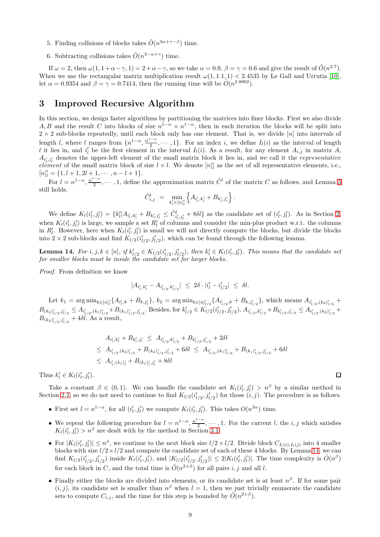- 5. Finding collisions of blocks takes  $\tilde{O}(n^{3\alpha+\gamma-\beta})$  time.
- 6. Subtracting collisions takes  $\tilde{O}(n^{3-\alpha+\gamma})$  time.

If  $\omega = 2$ , then  $\omega(1, 1 + \alpha - \gamma, 1) = 2 + \alpha - \gamma$ , so we take  $\alpha = 0.9$ ,  $\beta = \gamma = 0.6$  and give the result of  $\tilde{O}(n^{2.7})$ . When we use the rectangular matrix multiplication result  $\omega(1, 1.1, 1) < 2.4535$  by Le Gall and Urrutia [\[10\]](#page-11-6), let  $\alpha = 0.9354$  and  $\beta = \gamma = 0.7414$ , then the running time will be  $\tilde{O}(n^{2.8062})$ .

## <span id="page-8-0"></span>3 Improved Recursive Algorithm

In this section, we design faster algorithms by partitioning the matrices into finer blocks. First we also divide A, B and the result C into blocks of size  $n^{1-\alpha} \times n^{1-\alpha}$ , then in each iteration the blocks will be split into  $2 \times 2$  sub-blocks repeatedly, until each block only has one element. That is, we divide [n] into intervals of length l, where l ranges from  $\{n^{1-\alpha}, \frac{n^{1-\alpha}}{2}\}$  $\frac{1}{2}$ ,  $\cdots$ , 1}. For an index *i*, we define  $I_l(i)$  as the interval of length l it lies in, and  $i'_l$  be the first element in the interval  $I_l(i)$ . As a result, for any element  $A_{i,j}$  in matrix  $A$ ,  $A_{i',j'}$  denotes the upper-left element of the small matrix block it lies in, and we call it the *representative* element of the small matrix block of size  $l \times l$ . We denote  $[n]_l$  as the set of all representative elements, i.e.,  $[n]'_l = \{1, l + 1, 2l + 1, \cdots, n - l + 1\}.$ 

For  $l = n^{1-\alpha}, \frac{n^{1-\alpha}}{2}$  $\frac{1-\alpha}{2}, \dots, 1$ , define the approximation matrix  $\tilde{C}^l$  of the matrix C as follows, and Lemma [3](#page-3-1) still holds.

$$
\tilde{C}_{i,j}^l = \min_{k'_l \in [n]_l'} \left\{ A_{i'_l,k'_l} + B_{k'_l,j'_l} \right\}.
$$

We define  $K_l(i'_l, j'_l) = \{k'_l | A_{i'_l, k'_l} + B_{k'_l, j'_l} \leq \tilde{C}^l_{i'_l, j'_l} + 8\delta l\}$  as the candidate set of  $(i'_l, j'_l)$ . As in Section [2,](#page-3-0) when  $K_l(i'_l, j'_l)$  is large, we sample a set  $R'_l$  of columns and consider the min-plus product w.r.t. the columns in  $R'_l$ . However, here when  $K_l(i'_l, j'_l)$  is small we will not directly compute the blocks, but divide the blocks into 2 × 2 sub-blocks and find  $K_{l/2}(i'_{l/2}, j'_{l/2})$ , which can be found through the following lemma.

<span id="page-8-1"></span>**Lemma 14.** For  $i, j, k \in [n]$ , if  $k'_{l/2} \in K_{l/2}(i'_{l/2}, j'_{l/2})$ , then  $k'_{l} \in K_{l}(i'_{l}, j'_{l})$ . This means that the candidate set for smaller blocks must be inside the candidate set for larger blocks.

Proof. From definition we know

$$
|A_{i_l',k_l'} - A_{i_{l/2}',k_{l/2}'}| \le 2\delta \cdot |i_l' - i_{l/2}'| \le \delta l.
$$

Let  $k_1 = \arg \min_{k \in [n]_l'} \{ A_{i'_l,k} + B_{k,j'_l} \}, k_2 = \arg \min_{k \in [n]_{l/2}'} \{ A_{i'_{l/2},k} + B_{k,j'_{l/2}} \}$ , which means  $A_{i'_{l/2},(k_2)_{l/2}'} +$  $B_{(k_2)_{l/2}^{'},j'_{l/2}} \leq A_{i'_{l/2},(k_1)_{l/2}^{'}} + B_{(k_1)_{l/2}^{'},j'_{l/2}}$ . Besides, for  $k'_{l/2} \in K_{l/2}(i'_{l/2},j'_{l/2}), A_{i'_{l/2},k'_{l/2}} + B_{k'_{l/2},j'_{l/2}} \leq A_{i'_{l/2},(k_2)_{l/2}^{'}} +$  $B_{(k_2)'_{l/2},j'_{l/2}} + 4\delta l$ . As a result,

$$
A_{i'_l,k'_l} + B_{k'_l,j'_l} \leq A_{i'_{l/2},k'_{l/2}} + B_{k'_{l/2},j'_{l/2}} + 2\delta l
$$
  
\n
$$
\leq A_{i'_{l/2},(k_2)_{l/2}'} + B_{(k_2)_{l/2},j'_{l/2}} + 6\delta l \leq A_{i'_{l/2},(k_1)_{l/2}'} + B_{(k_1)_{l/2},j'_{l/2}} + 6\delta l
$$
  
\n
$$
\leq A_{i'_l,(k_1)_{l}'} + B_{(k_1)_{l}',j'_{l}} + 8\delta l
$$

Thus  $k'_l \in K_l(i'_l, j'_l)$ .

Take a constant  $\beta \in (0,1)$ . We can handle the candidate set  $K_l(i'_l, j'_l) > n^{\beta}$  by a similar method in Section [2.2,](#page-6-1) so we do not need to continue to find  $K_{l/2}(i'_{l/2}, j'_{l/2})$  for those  $(i, j)$ . The procedure is as follows.

- First set  $l = n^{1-\alpha}$ , for all  $(i'_l, j'_l)$  we compute  $K_l(i'_l, j'_l)$ . This takes  $O(n^{3\alpha})$  time.
- We repeat the following procedure for  $l = n^{1-\alpha}, \frac{n^{1-\alpha}}{2}$  $\frac{1}{2}$ ,  $\cdots$ , 1. For the current *l*, the *i*, *j* which satisfies  $K_l(i'_l, j'_l) > n^{\beta}$  are dealt with by the method in Section [3.1.](#page-9-0)
- For  $|K_l(i'_l, j'_l)| \leq n^{\beta}$ , we continue to the next block size  $l/2 \times l/2$ . Divide block  $C_{I_l(i),I_l(j)}$  into 4 smaller blocks with size  $l/2 \times l/2$  and compute the candidate set of each of these 4 blocks. By Lemma [14,](#page-8-1) we can find  $K_{l/2}(i'_{l/2}, j'_{l/2})$  inside  $K_l(i'_l, j'_l)$ , and  $|K_{l/2}(i'_{l/2}, j'_{l/2})| \leq 2|K_l(i'_l, j'_l)|$ . The time complexity is  $\tilde{O}(n^{\beta})$ for each block in C, and the total time is  $\tilde{O}(n^{2+\beta})$  for all pairs i, j and all l.
- Finally either the blocks are divided into elements, or its candidate set is at least  $n^{\beta}$ . If for some pair  $(i, j)$ , its candidate set is smaller than  $n^{\beta}$  when  $l = 1$ , then we just trivially enumerate the candidate sets to compute  $C_{i,j}$ , and the time for this step is bounded by  $\tilde{O}(n^{2+\beta})$ .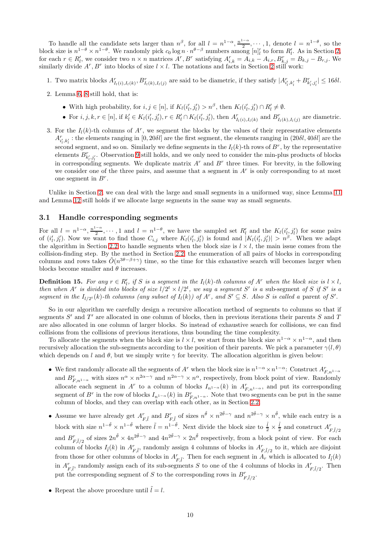To handle all the candidate sets larger than  $n^{\beta}$ , for all  $l = n^{1-\alpha}$ ,  $\frac{n^{1-\alpha}}{2}$  $\frac{1-\alpha}{2}, \cdots, 1$ , denote  $l = n^{1-\theta}$ , so the block size is  $n^{1-\theta} \times n^{1-\theta}$ . We randomly pick  $c_0 \log n \cdot n^{\theta-\beta}$  numbers among  $[n]'_l$  to form  $R'_l$ . As in Section [2,](#page-3-0) for each  $r \in R'_l$ , we consider two  $n \times n$  matrices  $A^r, B^r$  satisfying  $A_{i,k}^r = A_{i,k} - A_{i,r}, B_{k,j}^r = B_{k,j} - B_{r,j}$ . We similarly divide  $A^r, B^r$  into blocks of size  $l \times l$ . The notations and facts in Section [2](#page-3-0) still work:

- 1. Two matrix blocks  $A_{I_l(i),I_l(k)}^r$ ,  $B_{I_l(k),I_l(j)}^r$  are said to be diametric, if they satisfy  $|A_{i'_l,k'_l}^r + B_{k'_l,j'_l}^r| \leq 16\delta l$ .
- 2. Lemma [6,](#page-4-1) [8](#page-4-3) still hold, that is:
	- With high probability, for  $i, j \in [n]$ , if  $K_l(i'_l, j'_l) > n^{\beta}$ , then  $K_l(i'_l, j'_l) \cap R'_l \neq \emptyset$ .
	- For  $i, j, k, r \in [n]$ , if  $k'_{l} \in K_{l}(i'_{l}, j'_{l}), r \in R'_{l} \cap K_{l}(i'_{l}, j'_{l}),$  then  $A^{r}_{I_{l}(i), I_{l}(k)}$  and  $B^{r}_{I_{l}(k), I_{l}(j)}$  are diametric.
- 3. For the  $I_l(k)$ -th columns of  $A^r$ , we segment the blocks by the values of their representative elements  $A_{i',k'}^r$ : the elements ranging in  $[0,20\delta l]$  are the first segment, the elements ranging in  $(20\delta l, 40\delta l]$  are the second segment, and so on. Similarly we define segments in the  $I_l(k)$ -th rows of  $B^r$ , by the representative elements  $B_{k'_i,j'_i}^r$ . Observation [9](#page-5-2) still holds, and we only need to consider the min-plus products of blocks in corresponding segments. We duplicate matrix  $A^r$  and  $B^r$  three times. For brevity, in the following we consider one of the three pairs, and assume that a segment in  $A<sup>r</sup>$  is only corresponding to at most one segment in  $B^r$ .

Unlike in Section [2,](#page-3-0) we can deal with the large and small segments in a uniformed way, since Lemma [11](#page-6-0) and Lemma [12](#page-7-0) still holds if we allocate large segments in the same way as small segments.

### <span id="page-9-0"></span>3.1 Handle corresponding segments

For all  $l = n^{1-\alpha}, \frac{n^{1-\alpha}}{2}$  $\frac{1-\alpha}{2}, \dots, 1$  and  $l = n^{1-\theta}$ , we have the sampled set  $R'_l$  and the  $K_l(i'_l, j'_l)$  for some pairs of  $(i'_l, j'_l)$ . Now we want to find those  $C_{i,j}$  where  $K_l(i'_l, j'_l)$  is found and  $|K_l(i'_l, j'_l)| > n^{\beta}$ . When we adapt the algorithm in Section [2.2](#page-6-1) to handle segments when the block size is  $l \times l$ , the main issue comes from the collision-finding step. By the method in Section [2.2,](#page-6-1) the enumeration of all pairs of blocks in corresponding columns and rows takes  $\tilde{O}(n^{3\theta-\beta+\gamma})$  time, so the time for this exhaustive search will becomes larger when blocks become smaller and  $\theta$  increases.

**Definition 15.** For any  $r \in R'_l$ , if S is a segment in the  $I_l(k)$ -th columns of  $A^r$  when the block size is  $l \times l$ , then when  $A^r$  is divided into blocks of size  $l/2^t \times l/2^t$ , we say a segment S' is a sub-segment of S if S' is a segment in the  $I_{l/2}(k)$ -th columns (any subset of  $I_l(k)$ ) of  $A^r$ , and  $S' \subseteq S$ . Also S is called a parent of S'.

So in our algorithm we carefully design a recursive allocation method of segments to columns so that if segments  $S'$  and  $T'$  are allocated in one column of blocks, then in previous iterations their parents  $S$  and  $T$ are also allocated in one column of larger blocks. So instead of exhaustive search for collisions, we can find collisions from the collisions of previous iterations, thus bounding the time complexity.

To allocate the segments when the block size is  $l \times l$ , we start from the block size  $n^{1-\alpha} \times n^{1-\alpha}$ , and then recursively allocation the sub-segments according to the position of their parents. We pick a parameter  $\gamma(l,\theta)$ which depends on l and  $\theta$ , but we simply write  $\gamma$  for brevity. The allocation algorithm is given below:

- We first randomly allocate all the segments of  $A^r$  when the block size is  $n^{1-\alpha} \times n^{1-\alpha}$ : Construct  $A^r_{F,n^{1-\alpha}}$ and  $B_{F,n^{1-\alpha}}^r$  with sizes  $n^{\alpha} \times n^{2\alpha-\gamma}$  and  $n^{2\alpha-\gamma} \times n^{\alpha}$ , respectively, from block point of view. Randomly allocate each segment in  $A^r$  to a column of blocks  $I_{n^{1-\alpha}}(k)$  in  $A^r_{F,n^{1-\alpha}}$ , and put its corresponding segment of  $B^r$  in the row of blocks  $I_{n^{1-\alpha}}(k)$  in  $B^r_{F,n^{1-\alpha}}$ . Note that two segments can be put in the same column of blocks, and they can overlap with each other, as in Section [2.2.](#page-6-1)
- Assume we have already get  $A_{F,\tilde{l}}^r$  and  $B_{F,\tilde{l}}^r$  of sizes  $n^{\tilde{\theta}} \times n^{2\tilde{\theta}-\gamma}$  and  $n^{2\tilde{\theta}-\gamma} \times n^{\tilde{\theta}}$ , while each entry is a block with size  $n^{1-\tilde{\theta}} \times n^{1-\tilde{\theta}}$  where  $\tilde{l} = n^{1-\tilde{\theta}}$ . Next divide the block size to  $\frac{\tilde{l}}{2} \times \frac{\tilde{l}}{2}$  and construct  $A_{F,\tilde{l}/2}^r$ and  $B^r_{F,\tilde{l}/2}$  of sizes  $2n^{\tilde{\theta}} \times 4n^{2\tilde{\theta}-\gamma}$  and  $4n^{2\tilde{\theta}-\gamma} \times 2n^{\tilde{\theta}}$  respectively, from a block point of view. For each column of blocks  $I_{\tilde{l}}(k)$  in  $A_{F,\tilde{l}}^r$ , randomly assign 4 columns of blocks in  $A_{F,\tilde{l}/2}^r$  to it, which are disjoint from those for other columns of blocks in  $A_{F,\tilde{l}}^r$ . Then for each segment in  $A_r$  which is allocated to  $I_{\tilde{l}}(k)$ in  $A_{F,\tilde{l}}^r$ , randomly assign each of its sub-segments S to one of the 4 columns of blocks in  $A_{F,\tilde{l}/2}^r$ . Then put the corresponding segment of S to the corresponding rows in  $B^r_{F,\tilde{l}/2}$ .
- Repeat the above procedure until  $\tilde{l} = l$ .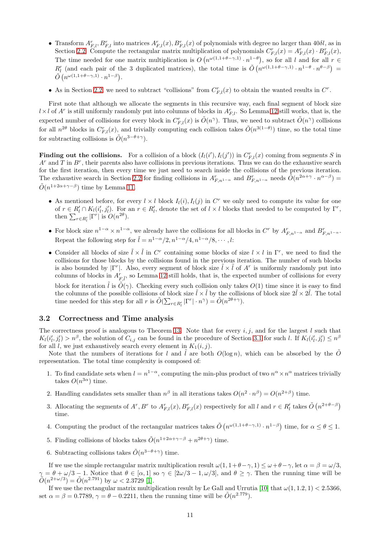- Transform  $A_{F,l}^r, B_{F,l}^r$  into matrices  $A_{F,l}^r(x), B_{F,l}^r(x)$  of polynomials with degree no larger than 40 $\delta l$ , as in Section [2.2.](#page-6-1) Compute the rectangular matrix multiplication of polynomials  $C_{F,l}^r(x) = A_{F,l}^r(x) \cdot B_{F,l}^r(x)$ , The time needed for one matrix multiplication is  $O(n^{\omega(1,1+\theta-\gamma,1)} \cdot n^{1-\theta})$ , so for all l and for all  $r \in$  $R'_l$  (and each pair of the 3 duplicated matrices), the total time is  $\tilde{O}(n^{\omega(1,1+\theta-\gamma,1)}\cdot n^{1-\theta}\cdot n^{\theta-\beta})$  $\tilde{O}\left(n^{\omega(1,1+\theta-\gamma,1)}\cdot n^{1-\beta}\right)$ .
- As in Section [2.2,](#page-6-1) we need to subtract "collisions" from  $C_{F,l}^r(x)$  to obtain the wanted results in  $C^r$ .

First note that although we allocate the segments in this recursive way, each final segment of block size  $l \times l$  of  $A^r$  is still uniformly randomly put into columns of blocks in  $A_{F,l}^r$ . So Lemma [12](#page-7-0) still works, that is, the expected number of collisions for every block in  $C_{F,l}^r(x)$  is  $\tilde{O}(n^{\gamma})$ . Thus, we need to subtract  $\tilde{O}(n^{\gamma})$  collisions for all  $n^{2\theta}$  blocks in  $C_{F,l}^r(x)$ , and trivially computing each collision takes  $\tilde{O}(n^{3(1-\theta)})$  time, so the total time for subtracting collisions is  $\tilde{O}(n^{3-\theta+\gamma}).$ 

**Finding out the collisions.** For a collision of a block  $(I_l(i'), I_l(j'))$  in  $C_{F,l}^r(x)$  coming from segments S in  $A^r$  and T in  $B^r$ , their parents also have collisions in previous iterations. Thus we can do the exhaustive search for the first iteration, then every time we just need to search inside the collisions of the previous iteration. The exhaustive search in Section [2.2](#page-6-1) for finding collisions in  $A_{F,n^{1-\alpha}}^r$  and  $B_{F,n^{1-\alpha}}^r$  needs  $\tilde{O}(n^{2\alpha+\gamma} \cdot n^{\alpha-\beta})$  $\tilde{O}(n^{1+2\alpha+\gamma-\beta})$  time by Lemma [11.](#page-6-0)

- As mentioned before, for every  $l \times l$  block  $I_l(i)$ ,  $I_l(j)$  in  $C^r$  we only need to compute its value for one of  $r \in R'_l \cap K_l(i'_l, j'_l)$ . For an  $r \in R'_l$ , denote the set of  $l \times l$  blocks that needed to be computed by  $\Gamma^r$ , then  $\sum_{r \in R'_l} |\Gamma^r|$  is  $O(n^{2\theta})$ .
- For block size  $n^{1-\alpha} \times n^{1-\alpha}$ , we already have the collisions for all blocks in  $C^r$  by  $A_{F,n^{1-\alpha}}^r$  and  $B_{F,n^{1-\alpha}}^r$ . Repeat the following step for  $\tilde{l} = n^{1-\alpha}/2, n^{1-\alpha}/4, n^{1-\alpha}/8, \cdots, l$ :
- Consider all blocks of size  $\tilde{l} \times \tilde{l}$  in C<sup>r</sup> containing some blocks of size  $l \times l$  in  $\Gamma^r$ , we need to find the collisions for those blocks by the collisions found in the previous iteration. The number of such blocks is also bounded by  $|\Gamma^r|$ . Also, every segment of block size  $\tilde{l} \times \tilde{l}$  of  $A^r$  is uniformly randomly put into columns of blocks in  $A_{F,\tilde{l}}^r$ , so Lemma [12](#page-7-0) still holds, that is, the expected number of collisions for every block for iteration  $\tilde{l}$  is  $\tilde{O}(\gamma)$ . Checking every such collision only takes  $O(1)$  time since it is easy to find the columns of the possible collisions of block size  $\tilde{l} \times \tilde{l}$  by the collisions of block size  $2\tilde{l} \times 2\tilde{l}$ . The total time needed for this step for all r is  $\tilde{O}(\sum_{r \in R'_l} |\Gamma^r| \cdot n^{\gamma}) = \tilde{O}(n^{2\theta + \gamma}).$

#### 3.2 Correctness and Time analysis

The correctness proof is analogous to Theorem [13.](#page-7-1) Note that for every  $i, j$ , and for the largest l such that  $K_l(i'_l, j'_l) > n^{\beta}$ , the solution of  $C_{i,j}$  can be found in the procedure of Section [3.1](#page-9-0) for such l. If  $K_l(i'_l, j'_l) \leq n^{\beta}$ for all l, we just exhaustively search every element in  $K_1(i, j)$ .

Note that the numbers of iterations for l and  $\tilde{l}$  are both  $O(\log n)$ , which can be absorbed by the  $\tilde{O}$ representation. The total time complexity is composed of:

- 1. To find candidate sets when  $l = n^{1-\alpha}$ , computing the min-plus product of two  $n^{\alpha} \times n^{\alpha}$  matrices trivially takes  $O(n^{3\alpha})$  time.
- 2. Handling candidates sets smaller than  $n^{\beta}$  in all iterations takes  $O(n^2 \cdot n^{\beta}) = O(n^{2+\beta})$  time.
- 3. Allocating the segments of  $A^r$ ,  $B^r$  to  $A_{F,l}^r(x)$ ,  $B_{F,l}^r(x)$  respectively for all l and  $r \in R_l'$  takes  $\tilde{O}(n^{2+\theta-\beta})$ time.
- 4. Computing the product of the rectangular matrices takes  $\tilde{O}(n^{\omega(1,1+\theta-\gamma,1)}\cdot n^{1-\beta})$  time, for  $\alpha \leq \theta \leq 1$ .
- 5. Finding collisions of blocks takes  $\tilde{O}(n^{1+2\alpha+\gamma-\beta}+n^{2\theta+\gamma})$  time.
- 6. Subtracting collisions takes  $\tilde{O}(n^{3-\theta+\gamma})$  time.

If we use the simple rectangular matrix multiplication result  $\omega(1, 1+\theta-\gamma, 1) \leq \omega+\theta-\gamma$ , let  $\alpha = \beta = \omega/3$ ,  $\vartheta = \theta + \omega/3 - 1$ . Notice that  $\theta \in [\alpha, 1]$  so  $\gamma \in [2\omega/3 - 1, \omega/3]$ , and  $\theta \geq \gamma$ . Then the running time will be  $\tilde{O}(n^{2+\omega/3}) = \tilde{O}(n^{2.791})$  by  $\omega < 2.3729$  [\[1\]](#page-11-3).

If we use the rectangular matrix multiplication result by Le Gall and Urrutia [\[10\]](#page-11-6) that  $\omega(1, 1.2, 1) < 2.5366$ , set  $\alpha = \beta = 0.7789$ ,  $\gamma = \theta - 0.2211$ , then the running time will be  $\tilde{O}(n^{2.779})$ .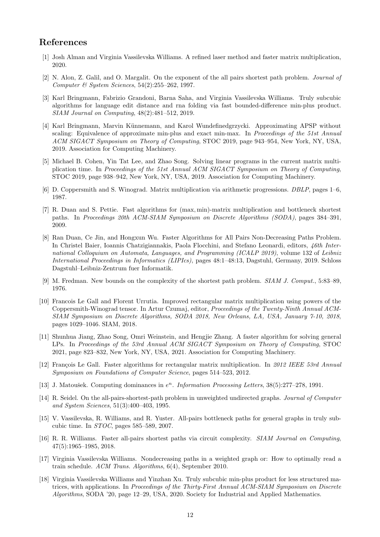## <span id="page-11-3"></span>References

- <span id="page-11-1"></span>[1] Josh Alman and Virginia Vassilevska Williams. A refined laser method and faster matrix multiplication, 2020.
- [2] N. Alon, Z. Galil, and O. Margalit. On the exponent of the all pairs shortest path problem. Journal of Computer  $\mathcal C$  System Sciences, 54(2):255–262, 1997.
- <span id="page-11-4"></span>[3] Karl Bringmann, Fabrizio Grandoni, Barna Saha, and Virginia Vassilevska Williams. Truly subcubic algorithms for language edit distance and rna folding via fast bounded-difference min-plus product. SIAM Journal on Computing, 48(2):481–512, 2019.
- <span id="page-11-14"></span>[4] Karl Bringmann, Marvin Künnemann, and Karol Wundefinedgrzycki. Approximating APSP without scaling: Equivalence of approximate min-plus and exact min-max. In *Proceedings of the 51st Annual* ACM SIGACT Symposium on Theory of Computing, STOC 2019, page 943–954, New York, NY, USA, 2019. Association for Computing Machinery.
- <span id="page-11-15"></span>[5] Michael B. Cohen, Yin Tat Lee, and Zhao Song. Solving linear programs in the current matrix multiplication time. In Proceedings of the 51st Annual ACM SIGACT Symposium on Theory of Computing, STOC 2019, page 938–942, New York, NY, USA, 2019. Association for Computing Machinery.
- <span id="page-11-11"></span><span id="page-11-2"></span>[6] D. Coppersmith and S. Winograd. Matrix multiplication via arithmetic progressions. DBLP, pages 1–6, 1987.
- [7] R. Duan and S. Pettie. Fast algorithms for (max, min)-matrix multiplication and bottleneck shortest paths. In Proceedings 20th ACM-SIAM Symposium on Discrete Algorithms (SODA), pages 384–391, 2009.
- <span id="page-11-13"></span>[8] Ran Duan, Ce Jin, and Hongxun Wu. Faster Algorithms for All Pairs Non-Decreasing Paths Problem. In Christel Baier, Ioannis Chatzigiannakis, Paola Flocchini, and Stefano Leonardi, editors, 46th International Colloquium on Automata, Languages, and Programming (ICALP 2019), volume 132 of Leibniz International Proceedings in Informatics (LIPIcs), pages 48:1–48:13, Dagstuhl, Germany, 2019. Schloss Dagstuhl–Leibniz-Zentrum fuer Informatik.
- <span id="page-11-7"></span><span id="page-11-6"></span>[9] M. Fredman. New bounds on the complexity of the shortest path problem. SIAM J. Comput., 5:83–89, 1976.
- [10] Francois Le Gall and Florent Urrutia. Improved rectangular matrix multiplication using powers of the Coppersmith-Winograd tensor. In Artur Czumaj, editor, Proceedings of the Twenty-Ninth Annual ACM-SIAM Symposium on Discrete Algorithms, SODA 2018, New Orleans, LA, USA, January 7-10, 2018, pages 1029–1046. SIAM, 2018.
- <span id="page-11-16"></span>[11] Shunhua Jiang, Zhao Song, Omri Weinstein, and Hengjie Zhang. A faster algorithm for solving general LPs. In Proceedings of the 53rd Annual ACM SIGACT Symposium on Theory of Computing, STOC 2021, page 823–832, New York, NY, USA, 2021. Association for Computing Machinery.
- <span id="page-11-17"></span>[12] François Le Gall. Faster algorithms for rectangular matrix multiplication. In 2012 IEEE 53rd Annual Symposium on Foundations of Computer Science, pages 514–523, 2012.
- <span id="page-11-9"></span><span id="page-11-8"></span>[13] J. Matoušek. Computing dominances in  $e^n$ . Information Processing Letters, 38(5):277-278, 1991.
- [14] R. Seidel. On the all-pairs-shortest-path problem in unweighted undirected graphs. Journal of Computer and System Sciences, 51(3):400–403, 1995.
- <span id="page-11-10"></span>[15] V. Vassilevska, R. Williams, and R. Yuster. All-pairs bottleneck paths for general graphs in truly subcubic time. In  $STOC$ , pages 585–589, 2007.
- <span id="page-11-0"></span>[16] R. R. Williams. Faster all-pairs shortest paths via circuit complexity. SIAM Journal on Computing, 47(5):1965–1985, 2018.
- <span id="page-11-12"></span>[17] Virginia Vassilevska Williams. Nondecreasing paths in a weighted graph or: How to optimally read a train schedule. ACM Trans. Algorithms, 6(4), September 2010.
- <span id="page-11-5"></span>[18] Virginia Vassilevska Williams and Yinzhan Xu. Truly subcubic min-plus product for less structured matrices, with applications. In Proceedings of the Thirty-First Annual ACM-SIAM Symposium on Discrete Algorithms, SODA '20, page 12–29, USA, 2020. Society for Industrial and Applied Mathematics.